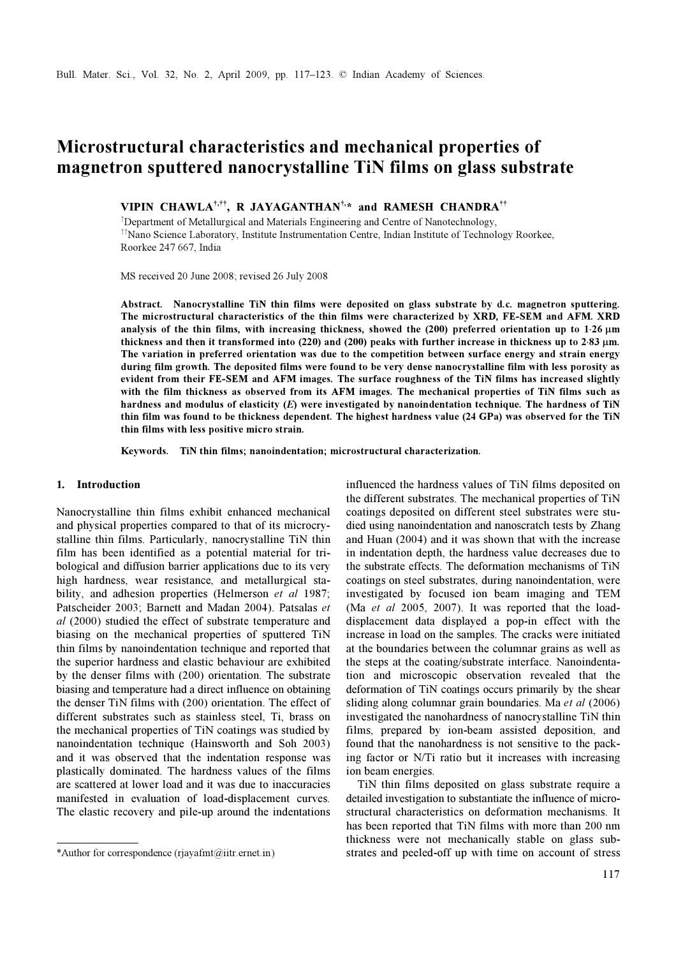# Microstructural characteristics and mechanical properties of magnetron sputtered nanocrystalline TiN films on glass substrate

VIPIN CHAWLA<sup>†,††</sup>, R JAYAGANTHAN<sup>†,\*</sup> and RAMESH CHANDRA<sup>††</sup>

†Department of Metallurgical and Materials Engineering and Centre of Nanotechnology, ††Nano Science Laboratory, Institute Instrumentation Centre, Indian Institute of Technology Roorkee, Roorkee 247 667, India

MS received 20 June 2008; revised 26 July 2008

Abstract. Nanocrystalline TiN thin films were deposited on glass substrate by d.c. magnetron sputtering. The microstructural characteristics of the thin films were characterized by XRD, FE-SEM and AFM. XRD analysis of the thin films, with increasing thickness, showed the (200) preferred orientation up to 1⋅26 µm thickness and then it transformed into (220) and (200) peaks with further increase in thickness up to 2⋅83 µm. The variation in preferred orientation was due to the competition between surface energy and strain energy during film growth. The deposited films were found to be very dense nanocrystalline film with less porosity as evident from their FE-SEM and AFM images. The surface roughness of the TiN films has increased slightly with the film thickness as observed from its AFM images. The mechanical properties of TiN films such as hardness and modulus of elasticity (E) were investigated by nanoindentation technique. The hardness of TiN thin film was found to be thickness dependent. The highest hardness value (24 GPa) was observed for the TiN thin films with less positive micro strain.

Keywords. TiN thin films; nanoindentation; microstructural characterization.

### 1. Introduction

Nanocrystalline thin films exhibit enhanced mechanical and physical properties compared to that of its microcrystalline thin films. Particularly, nanocrystalline TiN thin film has been identified as a potential material for tribological and diffusion barrier applications due to its very high hardness, wear resistance, and metallurgical stability, and adhesion properties (Helmerson et al 1987; Patscheider 2003; Barnett and Madan 2004). Patsalas et al (2000) studied the effect of substrate temperature and biasing on the mechanical properties of sputtered TiN thin films by nanoindentation technique and reported that the superior hardness and elastic behaviour are exhibited by the denser films with (200) orientation. The substrate biasing and temperature had a direct influence on obtaining the denser TiN films with (200) orientation. The effect of different substrates such as stainless steel, Ti, brass on the mechanical properties of TiN coatings was studied by nanoindentation technique (Hainsworth and Soh 2003) and it was observed that the indentation response was plastically dominated. The hardness values of the films are scattered at lower load and it was due to inaccuracies manifested in evaluation of load-displacement curves. The elastic recovery and pile-up around the indentations

influenced the hardness values of TiN films deposited on the different substrates. The mechanical properties of TiN coatings deposited on different steel substrates were studied using nanoindentation and nanoscratch tests by Zhang and Huan (2004) and it was shown that with the increase in indentation depth, the hardness value decreases due to the substrate effects. The deformation mechanisms of TiN coatings on steel substrates, during nanoindentation, were investigated by focused ion beam imaging and TEM (Ma et al 2005, 2007). It was reported that the loaddisplacement data displayed a pop-in effect with the increase in load on the samples. The cracks were initiated at the boundaries between the columnar grains as well as the steps at the coating/substrate interface. Nanoindentation and microscopic observation revealed that the deformation of TiN coatings occurs primarily by the shear sliding along columnar grain boundaries. Ma et al (2006) investigated the nanohardness of nanocrystalline TiN thin films, prepared by ion-beam assisted deposition, and found that the nanohardness is not sensitive to the packing factor or N/Ti ratio but it increases with increasing ion beam energies.

 TiN thin films deposited on glass substrate require a detailed investigation to substantiate the influence of microstructural characteristics on deformation mechanisms. It has been reported that TiN films with more than 200 nm thickness were not mechanically stable on glass sub- \*Author for correspondence (rjayafmt@iitr.ernet.in) strates and peeled-off up with time on account of stress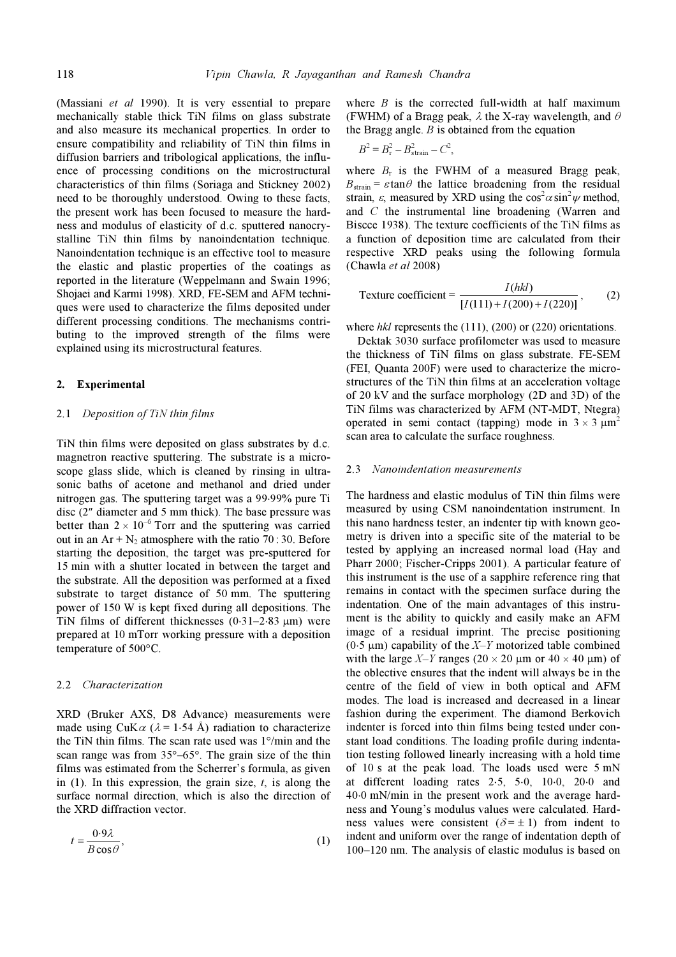(Massiani et al 1990). It is very essential to prepare mechanically stable thick TiN films on glass substrate and also measure its mechanical properties. In order to ensure compatibility and reliability of TiN thin films in diffusion barriers and tribological applications, the influence of processing conditions on the microstructural characteristics of thin films (Soriaga and Stickney 2002) need to be thoroughly understood. Owing to these facts, the present work has been focused to measure the hardness and modulus of elasticity of d.c. sputtered nanocrystalline TiN thin films by nanoindentation technique. Nanoindentation technique is an effective tool to measure the elastic and plastic properties of the coatings as reported in the literature (Weppelmann and Swain 1996; Shojaei and Karmi 1998). XRD, FE-SEM and AFM techniques were used to characterize the films deposited under different processing conditions. The mechanisms contributing to the improved strength of the films were explained using its microstructural features.

## 2. Experimental

#### 2.1 Deposition of TiN thin films

TiN thin films were deposited on glass substrates by d.c. magnetron reactive sputtering. The substrate is a microscope glass slide, which is cleaned by rinsing in ultrasonic baths of acetone and methanol and dried under nitrogen gas. The sputtering target was a 99⋅99% pure Ti disc (2″ diameter and 5 mm thick). The base pressure was better than  $2 \times 10^{-6}$  Torr and the sputtering was carried out in an  $Ar + N_2$  atmosphere with the ratio 70 : 30. Before starting the deposition, the target was pre-sputtered for 15 min with a shutter located in between the target and the substrate. All the deposition was performed at a fixed substrate to target distance of 50 mm. The sputtering power of 150 W is kept fixed during all depositions. The TiN films of different thicknesses  $(0.31-2.83 \mu m)$  were prepared at 10 mTorr working pressure with a deposition temperature of 500°C.

### 2.2 Characterization

XRD (Bruker AXS, D8 Advance) measurements were made using CuK $\alpha$  ( $\lambda$  = 1⋅54 Å) radiation to characterize the TiN thin films. The scan rate used was 1°/min and the scan range was from 35°–65°. The grain size of the thin films was estimated from the Scherrer's formula, as given in  $(1)$ . In this expression, the grain size, t, is along the surface normal direction, which is also the direction of the XRD diffraction vector.

$$
t = \frac{0.9\lambda}{B\cos\theta},\tag{1}
$$

where  $B$  is the corrected full-width at half maximum (FWHM) of a Bragg peak,  $\lambda$  the X-ray wavelength, and  $\theta$ the Bragg angle.  $B$  is obtained from the equation

$$
B^2 = B_{\rm r}^2 - B_{\rm strain}^2 - C^2,
$$

where  $B_r$  is the FWHM of a measured Bragg peak,  $B_{\text{strain}} = \varepsilon \tan \theta$  the lattice broadening from the residual strain,  $\varepsilon$ , measured by XRD using the cos<sup>2</sup> $\alpha$  sin<sup>2</sup> $\psi$  method, and C the instrumental line broadening (Warren and Biscce 1938). The texture coefficients of the TiN films as a function of deposition time are calculated from their respective XRD peaks using the following formula (Chawla et al 2008)

Texture coefficient = 
$$
\frac{I(hkl)}{[I(111) + I(200) + I(220)]}
$$
, (2)

where hkl represents the (111), (200) or (220) orientations.

 Dektak 3030 surface profilometer was used to measure the thickness of TiN films on glass substrate. FE-SEM (FEI, Quanta 200F) were used to characterize the microstructures of the TiN thin films at an acceleration voltage of 20 kV and the surface morphology (2D and 3D) of the TiN films was characterized by AFM (NT-MDT, Ntegra) operated in semi contact (tapping) mode in  $3 \times 3 \mu m^2$ scan area to calculate the surface roughness.

#### 2.3 Nanoindentation measurements

The hardness and elastic modulus of TiN thin films were measured by using CSM nanoindentation instrument. In this nano hardness tester, an indenter tip with known geometry is driven into a specific site of the material to be tested by applying an increased normal load (Hay and Pharr 2000; Fischer-Cripps 2001). A particular feature of this instrument is the use of a sapphire reference ring that remains in contact with the specimen surface during the indentation. One of the main advantages of this instrument is the ability to quickly and easily make an AFM image of a residual imprint. The precise positioning (0⋅5  $\mu$ m) capability of the X–Y motorized table combined with the large X–Y ranges (20  $\times$  20  $\mu$ m or 40  $\times$  40  $\mu$ m) of the oblective ensures that the indent will always be in the centre of the field of view in both optical and AFM modes. The load is increased and decreased in a linear fashion during the experiment. The diamond Berkovich indenter is forced into thin films being tested under constant load conditions. The loading profile during indentation testing followed linearly increasing with a hold time of 10 s at the peak load. The loads used were 5 mN at different loading rates 2⋅5, 5⋅0, 10⋅0, 20⋅0 and 40⋅0 mN/min in the present work and the average hardness and Young's modulus values were calculated. Hardness values were consistent  $(\delta = \pm 1)$  from indent to indent and uniform over the range of indentation depth of 100–120 nm. The analysis of elastic modulus is based on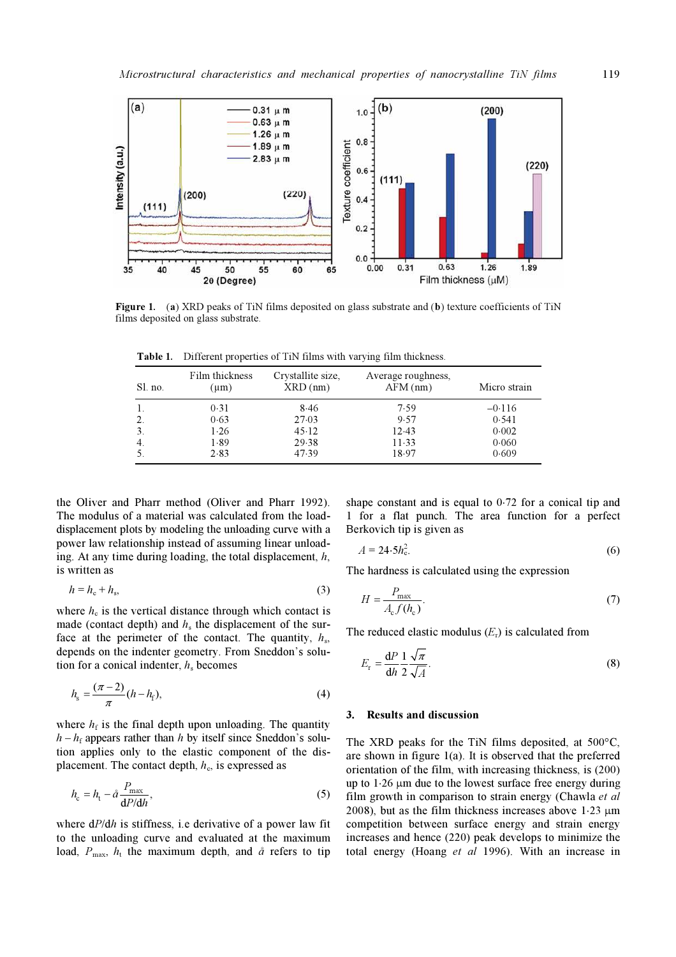

Figure 1. (a) XRD peaks of TiN films deposited on glass substrate and (b) texture coefficients of TiN films deposited on glass substrate.

| Sl. no.          | Film thickness<br>$(\mu m)$ | Crystallite size,<br>$XRD$ (nm) | Average roughness,<br>$AFM$ (nm) | Micro strain |
|------------------|-----------------------------|---------------------------------|----------------------------------|--------------|
|                  | 0.31                        | 8.46                            | 7.59                             | $-0.116$     |
| 2.               | 0.63                        | 27.03                           | 9.57                             | 0.541        |
| $\overline{3}$ . | 1.26                        | 45.12                           | 12.43                            | 0.002        |
| 4.               | 1.89                        | 29.38                           | $11-33$                          | 0.060        |
|                  | 2.83                        | 47.39                           | 18.97                            | 0.609        |

Table 1. Different properties of TiN films with varying film thickness.

the Oliver and Pharr method (Oliver and Pharr 1992). The modulus of a material was calculated from the loaddisplacement plots by modeling the unloading curve with a power law relationship instead of assuming linear unloading. At any time during loading, the total displacement,  $h$ , is written as

$$
h = h_{\rm c} + h_{\rm s},\tag{3}
$$

where  $h_c$  is the vertical distance through which contact is made (contact depth) and  $h<sub>s</sub>$  the displacement of the surface at the perimeter of the contact. The quantity,  $h<sub>s</sub>$ , depends on the indenter geometry. From Sneddon's solution for a conical indenter,  $h<sub>s</sub>$  becomes

$$
h_{s} = \frac{(\pi - 2)}{\pi} (h - h_{f}),
$$
\n(4)

where  $h_f$  is the final depth upon unloading. The quantity  $h - h_f$  appears rather than h by itself since Sneddon's solution applies only to the elastic component of the displacement. The contact depth,  $h<sub>c</sub>$ , is expressed as

$$
h_{\rm c} = h_{\rm t} - \mathring{a} \frac{P_{\rm max}}{\mathrm{d}P/\mathrm{d}h},\tag{5}
$$

where  $dP/dh$  is stiffness, i.e derivative of a power law fit to the unloading curve and evaluated at the maximum load,  $P_{\text{max}}$ ,  $h_t$  the maximum depth, and  $\hat{a}$  refers to tip

shape constant and is equal to 0⋅72 for a conical tip and 1 for a flat punch. The area function for a perfect Berkovich tip is given as

$$
A = 24.5h_{\rm c}^2. \tag{6}
$$

The hardness is calculated using the expression

$$
H = \frac{P_{\text{max}}}{A_{\text{c}} f(h_{\text{c}})}.\tag{7}
$$

The reduced elastic modulus  $(E_r)$  is calculated from

$$
E_{\rm r} = \frac{\mathrm{d}P}{\mathrm{d}h} \frac{1}{2} \frac{\sqrt{\pi}}{\sqrt{A}}.\tag{8}
$$

## 3. Results and discussion

The XRD peaks for the TiN films deposited, at 500°C, are shown in figure 1(a). It is observed that the preferred orientation of the film, with increasing thickness, is (200) up to 1⋅26 µm due to the lowest surface free energy during film growth in comparison to strain energy (Chawla et al. 2008), but as the film thickness increases above 1⋅23 µm competition between surface energy and strain energy increases and hence (220) peak develops to minimize the total energy (Hoang et al 1996). With an increase in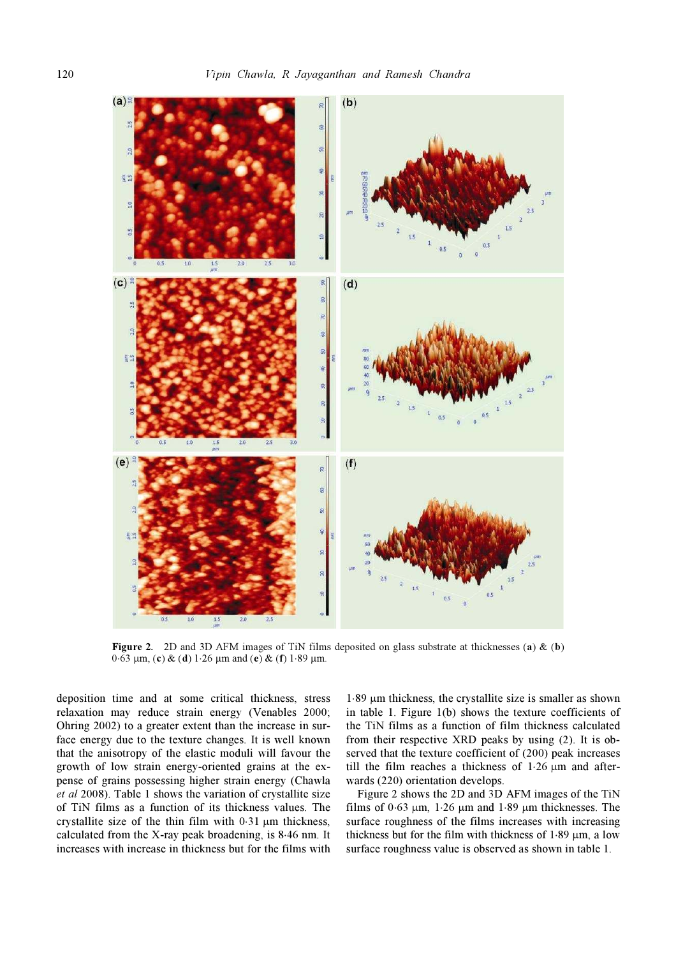

Figure 2. 2D and 3D AFM images of TiN films deposited on glass substrate at thicknesses (a)  $\&$  (b) 0⋅63  $\mu$ m, (c) & (d) 1⋅26  $\mu$ m and (e) & (f) 1⋅89  $\mu$ m.

deposition time and at some critical thickness, stress relaxation may reduce strain energy (Venables 2000; Ohring 2002) to a greater extent than the increase in surface energy due to the texture changes. It is well known that the anisotropy of the elastic moduli will favour the growth of low strain energy-oriented grains at the expense of grains possessing higher strain energy (Chawla et al 2008). Table 1 shows the variation of crystallite size of TiN films as a function of its thickness values. The crystallite size of the thin film with 0⋅31 µm thickness, calculated from the X-ray peak broadening, is 8⋅46 nm. It increases with increase in thickness but for the films with

 $1.89 \mu m$  thickness, the crystallite size is smaller as shown in table 1. Figure 1(b) shows the texture coefficients of the TiN films as a function of film thickness calculated from their respective XRD peaks by using (2). It is observed that the texture coefficient of (200) peak increases till the film reaches a thickness of 1⋅26 µm and afterwards (220) orientation develops.

 Figure 2 shows the 2D and 3D AFM images of the TiN films of 0⋅63  $\mu$ m, 1⋅26  $\mu$ m and 1⋅89  $\mu$ m thicknesses. The surface roughness of the films increases with increasing thickness but for the film with thickness of  $1.89 \mu m$ , a low surface roughness value is observed as shown in table 1.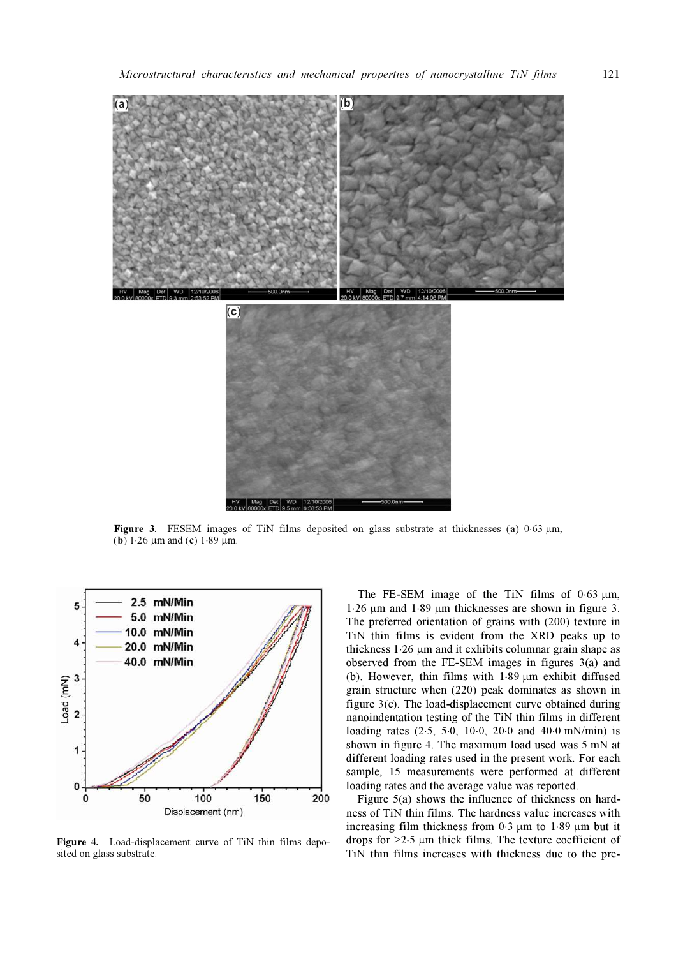

Figure 3. FESEM images of TiN films deposited on glass substrate at thicknesses (a)  $0.63 \mu m$ , (**b**) 1⋅26  $\mu$ m and (**c**) 1⋅89  $\mu$ m.



Figure 4. Load-displacement curve of TiN thin films deposited on glass substrate.

The FE-SEM image of the TiN films of  $0.63 \mu m$ , 1⋅26 µm and 1⋅89 µm thicknesses are shown in figure 3. The preferred orientation of grains with (200) texture in TiN thin films is evident from the XRD peaks up to thickness 1⋅26 µm and it exhibits columnar grain shape as observed from the FE-SEM images in figures 3(a) and (b). However, thin films with 1⋅89 µm exhibit diffused grain structure when (220) peak dominates as shown in figure 3(c). The load-displacement curve obtained during nanoindentation testing of the TiN thin films in different loading rates (2⋅5, 5⋅0, 10⋅0, 20⋅0 and 40⋅0 mN/min) is shown in figure 4. The maximum load used was 5 mN at different loading rates used in the present work. For each sample, 15 measurements were performed at different loading rates and the average value was reported.

Figure 5(a) shows the influence of thickness on hardness of TiN thin films. The hardness value increases with increasing film thickness from 0⋅3 µm to 1⋅89 µm but it drops for >2⋅5 µm thick films. The texture coefficient of TiN thin films increases with thickness due to the pre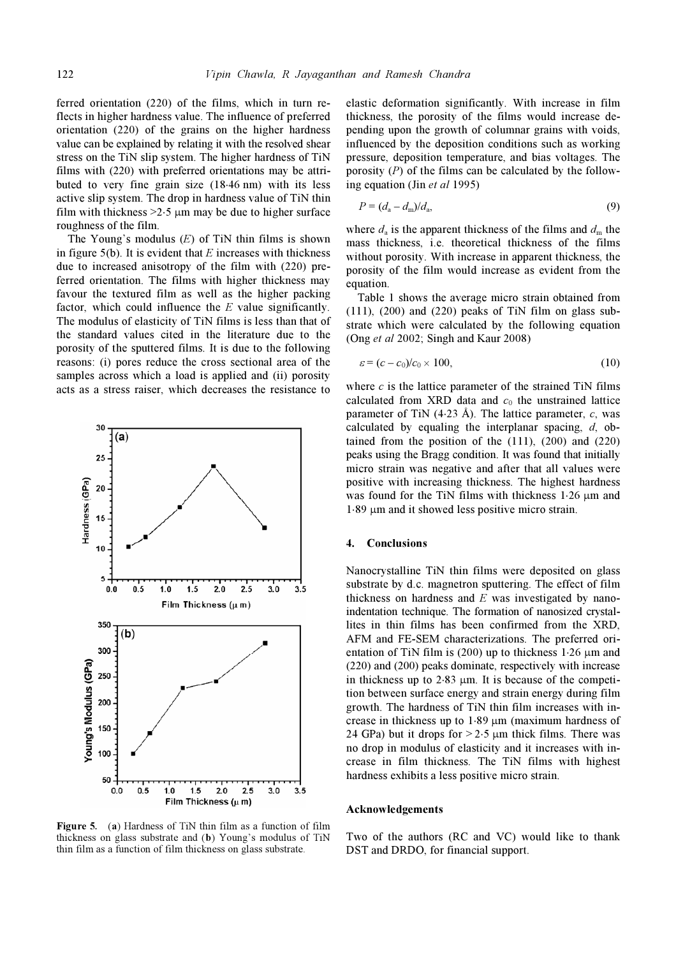ferred orientation (220) of the films, which in turn reflects in higher hardness value. The influence of preferred orientation (220) of the grains on the higher hardness value can be explained by relating it with the resolved shear stress on the TiN slip system. The higher hardness of TiN films with (220) with preferred orientations may be attributed to very fine grain size (18⋅46 nm) with its less active slip system. The drop in hardness value of TiN thin film with thickness  $>2.5 \mu m$  may be due to higher surface roughness of the film.

The Young's modulus  $(E)$  of TiN thin films is shown in figure 5(b). It is evident that  $E$  increases with thickness due to increased anisotropy of the film with (220) preferred orientation. The films with higher thickness may favour the textured film as well as the higher packing factor, which could influence the  $E$  value significantly. The modulus of elasticity of TiN films is less than that of the standard values cited in the literature due to the porosity of the sputtered films. It is due to the following reasons: (i) pores reduce the cross sectional area of the samples across which a load is applied and (ii) porosity acts as a stress raiser, which decreases the resistance to



Figure 5. (a) Hardness of TiN thin film as a function of film thickness on glass substrate and (b) Young's modulus of TiN thin film as a function of film thickness on glass substrate.

elastic deformation significantly. With increase in film thickness, the porosity of the films would increase depending upon the growth of columnar grains with voids, influenced by the deposition conditions such as working pressure, deposition temperature, and bias voltages. The porosity  $(P)$  of the films can be calculated by the following equation (Jin et al 1995)

$$
P = (d_{\rm a} - d_{\rm m})/d_{\rm a},\tag{9}
$$

where  $d_a$  is the apparent thickness of the films and  $d_m$  the mass thickness, i.e. theoretical thickness of the films without porosity. With increase in apparent thickness, the porosity of the film would increase as evident from the equation.

 Table 1 shows the average micro strain obtained from  $(111)$ ,  $(200)$  and  $(220)$  peaks of TiN film on glass substrate which were calculated by the following equation (Ong et al 2002; Singh and Kaur 2008)

$$
\varepsilon = (c - c_0)/c_0 \times 100, \tag{10}
$$

where  $c$  is the lattice parameter of the strained TiN films calculated from XRD data and  $c_0$  the unstrained lattice parameter of TiN (4⋅23 Å). The lattice parameter,  $c$ , was calculated by equaling the interplanar spacing,  $d$ , obtained from the position of the (111), (200) and (220) peaks using the Bragg condition. It was found that initially micro strain was negative and after that all values were positive with increasing thickness. The highest hardness was found for the TiN films with thickness 1⋅26 µm and 1⋅89 µm and it showed less positive micro strain.

## 4. Conclusions

Nanocrystalline TiN thin films were deposited on glass substrate by d.c. magnetron sputtering. The effect of film thickness on hardness and  $E$  was investigated by nanoindentation technique. The formation of nanosized crystallites in thin films has been confirmed from the XRD, AFM and FE-SEM characterizations. The preferred orientation of TiN film is (200) up to thickness 1⋅26 µm and (220) and (200) peaks dominate, respectively with increase in thickness up to  $2.83 \mu m$ . It is because of the competition between surface energy and strain energy during film growth. The hardness of TiN thin film increases with increase in thickness up to 1⋅89 µm (maximum hardness of 24 GPa) but it drops for  $> 2.5 \mu m$  thick films. There was no drop in modulus of elasticity and it increases with increase in film thickness. The TiN films with highest hardness exhibits a less positive micro strain.

#### Acknowledgements

Two of the authors (RC and VC) would like to thank DST and DRDO, for financial support.